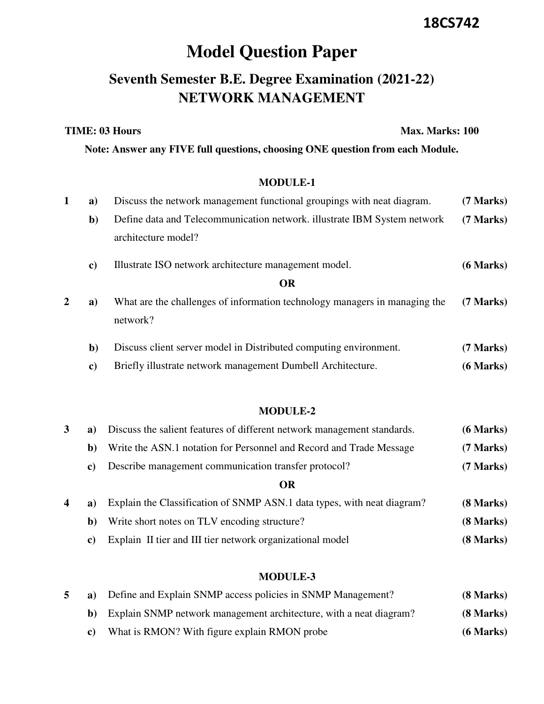## **18CS742**

# **Model Question Paper**

# **Seventh Semester B.E. Degree Examination (2021-22) NETWORK MANAGEMENT**

**TIME: 03 Hours** Max. Marks: 100

**Note: Answer any FIVE full questions, choosing ONE question from each Module.**

#### **MODULE-1**

| a)            | Discuss the network management functional groupings with neat diagram.     | (7 Marks) |
|---------------|----------------------------------------------------------------------------|-----------|
| $\mathbf{b}$  | Define data and Telecommunication network. illustrate IBM System network   | (7 Marks) |
|               | architecture model?                                                        |           |
| $\mathbf{c})$ | Illustrate ISO network architecture management model.                      | (6 Marks) |
|               | <b>OR</b>                                                                  |           |
| a)            | What are the challenges of information technology managers in managing the | (7 Marks) |
|               | network?                                                                   |           |
| $\mathbf{b}$  | Discuss client server model in Distributed computing environment.          | (7 Marks) |
| $\bf c)$      | Briefly illustrate network management Dumbell Architecture.                | (6 Marks) |
|               |                                                                            |           |

#### **MODULE-2**

| 3                | a)           | Discuss the salient features of different network management standards. | (6 Marks) |
|------------------|--------------|-------------------------------------------------------------------------|-----------|
|                  | b)           | Write the ASN.1 notation for Personnel and Record and Trade Message     | (7 Marks) |
|                  | C)           | Describe management communication transfer protocol?                    | (7 Marks) |
|                  |              | OR                                                                      |           |
| $\boldsymbol{4}$ | a)           | Explain the Classification of SNMP ASN.1 data types, with neat diagram? | (8 Marks) |
|                  | $\mathbf{b}$ | Write short notes on TLV encoding structure?                            | (8 Marks) |

**c)** Explain II tier and III tier network organizational model **(8 Marks)** 

#### **MODULE-3**

|  | Define and Explain SNMP access policies in SNMP Management?        | $(8$ Marks)    |
|--|--------------------------------------------------------------------|----------------|
|  | Explain SNMP network management architecture, with a neat diagram? | $(8$ Marks $)$ |
|  | What is RMON? With figure explain RMON probe                       | $(6$ Marks)    |